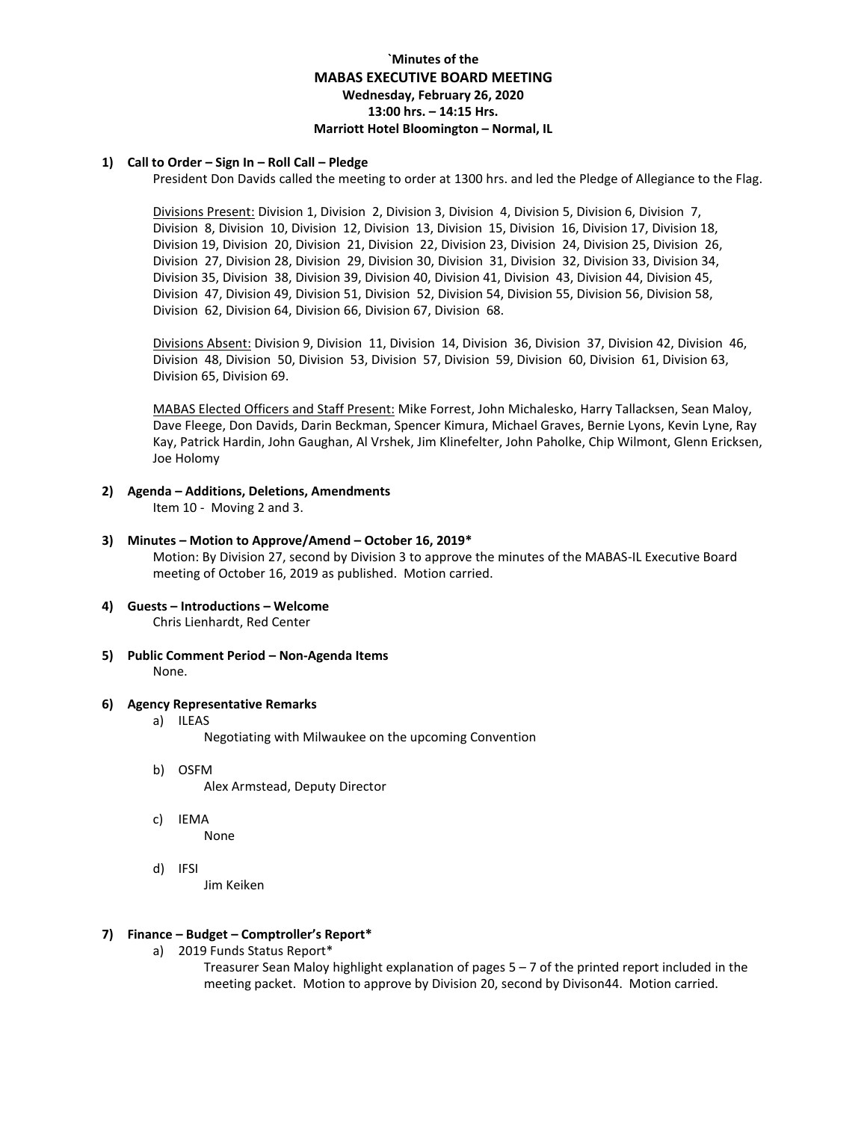# **`Minutes of the MABAS EXECUTIVE BOARD MEETING Wednesday, February 26, 2020 13:00 hrs. – 14:15 Hrs. Marriott Hotel Bloomington – Normal, IL**

### **1) Call to Order – Sign In – Roll Call – Pledge**

President Don Davids called the meeting to order at 1300 hrs. and led the Pledge of Allegiance to the Flag.

Divisions Present: Division 1, Division 2, Division 3, Division 4, Division 5, Division 6, Division 7, Division 8, Division 10, Division 12, Division 13, Division 15, Division 16, Division 17, Division 18, Division 19, Division 20, Division 21, Division 22, Division 23, Division 24, Division 25, Division 26, Division 27, Division 28, Division 29, Division 30, Division 31, Division 32, Division 33, Division 34, Division 35, Division 38, Division 39, Division 40, Division 41, Division 43, Division 44, Division 45, Division 47, Division 49, Division 51, Division 52, Division 54, Division 55, Division 56, Division 58, Division 62, Division 64, Division 66, Division 67, Division 68.

Divisions Absent: Division 9, Division 11, Division 14, Division 36, Division 37, Division 42, Division 46, Division 48, Division 50, Division 53, Division 57, Division 59, Division 60, Division 61, Division 63, Division 65, Division 69.

MABAS Elected Officers and Staff Present: Mike Forrest, John Michalesko, Harry Tallacksen, Sean Maloy, Dave Fleege, Don Davids, Darin Beckman, Spencer Kimura, Michael Graves, Bernie Lyons, Kevin Lyne, Ray Kay, Patrick Hardin, John Gaughan, Al Vrshek, Jim Klinefelter, John Paholke, Chip Wilmont, Glenn Ericksen, Joe Holomy

- **2) Agenda – Additions, Deletions, Amendments** Item 10 - Moving 2 and 3.
- **3) Minutes – Motion to Approve/Amend – October 16, 2019\***

Motion: By Division 27, second by Division 3 to approve the minutes of the MABAS-IL Executive Board meeting of October 16, 2019 as published. Motion carried.

- **4) Guests – Introductions – Welcome** Chris Lienhardt, Red Center
- **5) Public Comment Period – Non-Agenda Items** None.
- **6) Agency Representative Remarks**
	- a) ILEAS

Negotiating with Milwaukee on the upcoming Convention

- b) OSFM
	- Alex Armstead, Deputy Director
- c) IEMA None
- d) IFSI

Jim Keiken

### **7) Finance – Budget – Comptroller's Report\***

a) 2019 Funds Status Report\*

Treasurer Sean Maloy highlight explanation of pages  $5 - 7$  of the printed report included in the meeting packet. Motion to approve by Division 20, second by Divison44. Motion carried.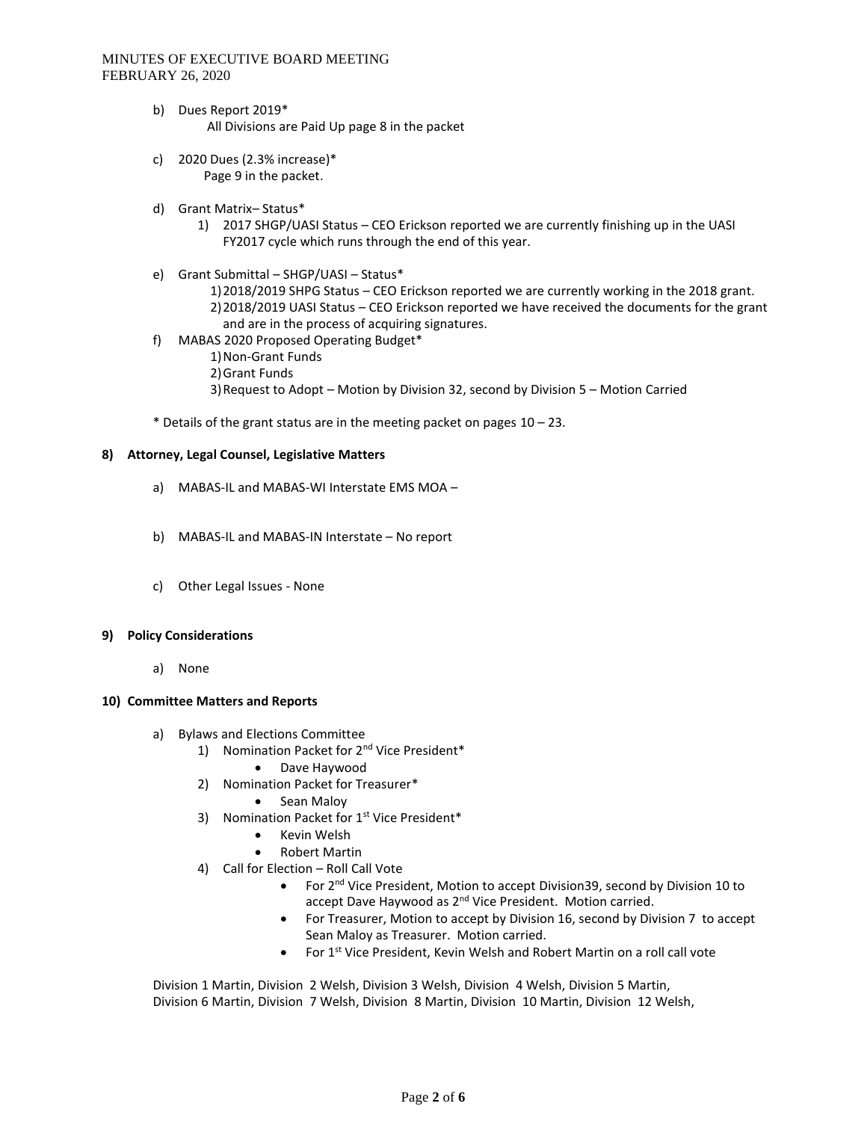- b) Dues Report 2019\* All Divisions are Paid Up page 8 in the packet
- c) 2020 Dues (2.3% increase)\* Page 9 in the packet.
- d) Grant Matrix– Status\*
	- 1) 2017 SHGP/UASI Status CEO Erickson reported we are currently finishing up in the UASI FY2017 cycle which runs through the end of this year.
- e) Grant Submittal SHGP/UASI Status\*
	- 1)2018/2019 SHPG Status CEO Erickson reported we are currently working in the 2018 grant.

2)2018/2019 UASI Status – CEO Erickson reported we have received the documents for the grant and are in the process of acquiring signatures.

- f) MABAS 2020 Proposed Operating Budget\*
	- 1)Non-Grant Funds
	- 2)Grant Funds
	- 3)Request to Adopt Motion by Division 32, second by Division 5 Motion Carried

 $*$  Details of the grant status are in the meeting packet on pages  $10 - 23$ .

### **8) Attorney, Legal Counsel, Legislative Matters**

- a) MABAS-IL and MABAS-WI Interstate EMS MOA –
- b) MABAS-IL and MABAS-IN Interstate No report
- c) Other Legal Issues None

### **9) Policy Considerations**

a) None

### **10) Committee Matters and Reports**

- a) Bylaws and Elections Committee
	- 1) Nomination Packet for 2<sup>nd</sup> Vice President\*
		- Dave Haywood
	- 2) Nomination Packet for Treasurer\*
		- Sean Maloy
	- 3) Nomination Packet for 1<sup>st</sup> Vice President\*
		- Kevin Welsh
		- Robert Martin
	- 4) Call for Election Roll Call Vote
		- For 2<sup>nd</sup> Vice President, Motion to accept Division39, second by Division 10 to accept Dave Haywood as 2<sup>nd</sup> Vice President. Motion carried.
		- For Treasurer, Motion to accept by Division 16, second by Division 7 to accept Sean Maloy as Treasurer. Motion carried.
		- For 1<sup>st</sup> Vice President, Kevin Welsh and Robert Martin on a roll call vote

Division 1 Martin, Division 2 Welsh, Division 3 Welsh, Division 4 Welsh, Division 5 Martin, Division 6 Martin, Division 7 Welsh, Division 8 Martin, Division 10 Martin, Division 12 Welsh,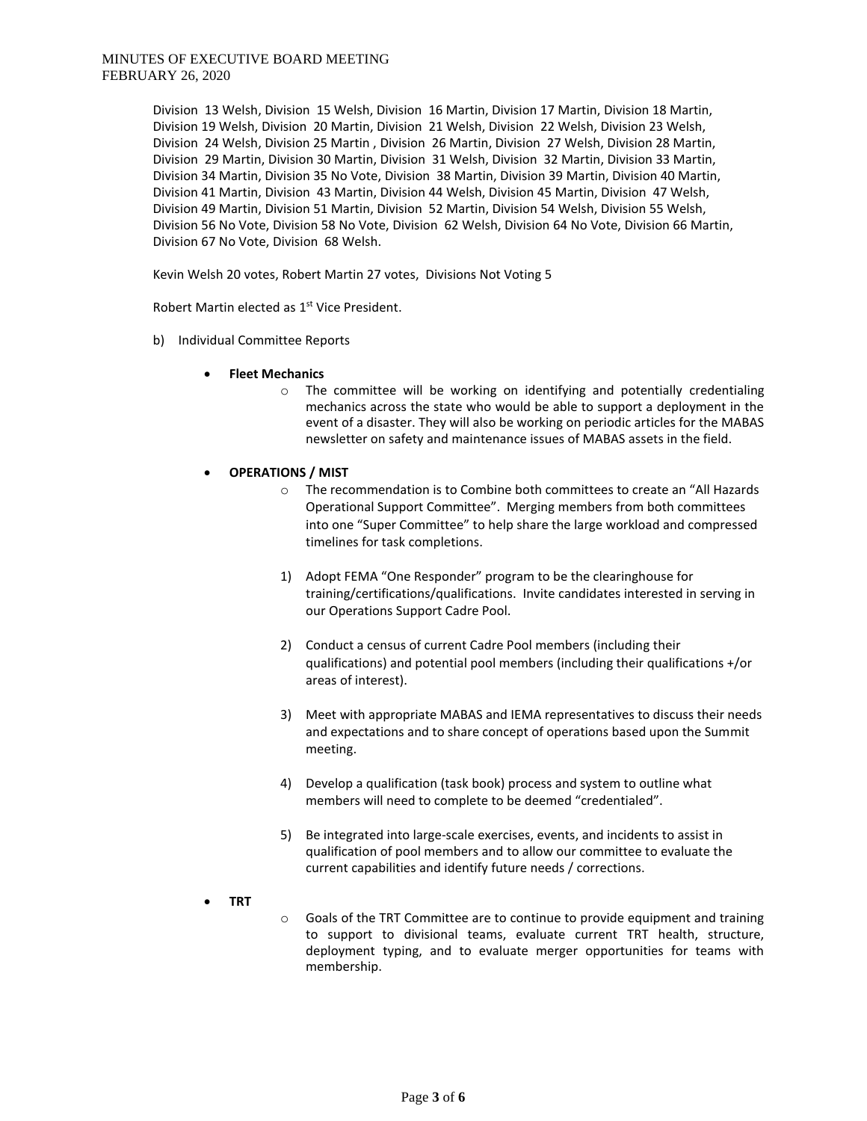Division 13 Welsh, Division 15 Welsh, Division 16 Martin, Division 17 Martin, Division 18 Martin, Division 19 Welsh, Division 20 Martin, Division 21 Welsh, Division 22 Welsh, Division 23 Welsh, Division 24 Welsh, Division 25 Martin , Division 26 Martin, Division 27 Welsh, Division 28 Martin, Division 29 Martin, Division 30 Martin, Division 31 Welsh, Division 32 Martin, Division 33 Martin, Division 34 Martin, Division 35 No Vote, Division 38 Martin, Division 39 Martin, Division 40 Martin, Division 41 Martin, Division 43 Martin, Division 44 Welsh, Division 45 Martin, Division 47 Welsh, Division 49 Martin, Division 51 Martin, Division 52 Martin, Division 54 Welsh, Division 55 Welsh, Division 56 No Vote, Division 58 No Vote, Division 62 Welsh, Division 64 No Vote, Division 66 Martin, Division 67 No Vote, Division 68 Welsh.

Kevin Welsh 20 votes, Robert Martin 27 votes, Divisions Not Voting 5

Robert Martin elected as 1<sup>st</sup> Vice President.

- b) Individual Committee Reports
	- **Fleet Mechanics**
		- o The committee will be working on identifying and potentially credentialing mechanics across the state who would be able to support a deployment in the event of a disaster. They will also be working on periodic articles for the MABAS newsletter on safety and maintenance issues of MABAS assets in the field.
	- **OPERATIONS / MIST**
		- o The recommendation is to Combine both committees to create an "All Hazards Operational Support Committee". Merging members from both committees into one "Super Committee" to help share the large workload and compressed timelines for task completions.
		- 1) Adopt FEMA "One Responder" program to be the clearinghouse for training/certifications/qualifications. Invite candidates interested in serving in our Operations Support Cadre Pool.
		- 2) Conduct a census of current Cadre Pool members (including their qualifications) and potential pool members (including their qualifications +/or areas of interest).
		- 3) Meet with appropriate MABAS and IEMA representatives to discuss their needs and expectations and to share concept of operations based upon the Summit meeting.
		- 4) Develop a qualification (task book) process and system to outline what members will need to complete to be deemed "credentialed".
		- 5) Be integrated into large-scale exercises, events, and incidents to assist in qualification of pool members and to allow our committee to evaluate the current capabilities and identify future needs / corrections.
	- **TRT**
- o Goals of the TRT Committee are to continue to provide equipment and training to support to divisional teams, evaluate current TRT health, structure, deployment typing, and to evaluate merger opportunities for teams with membership.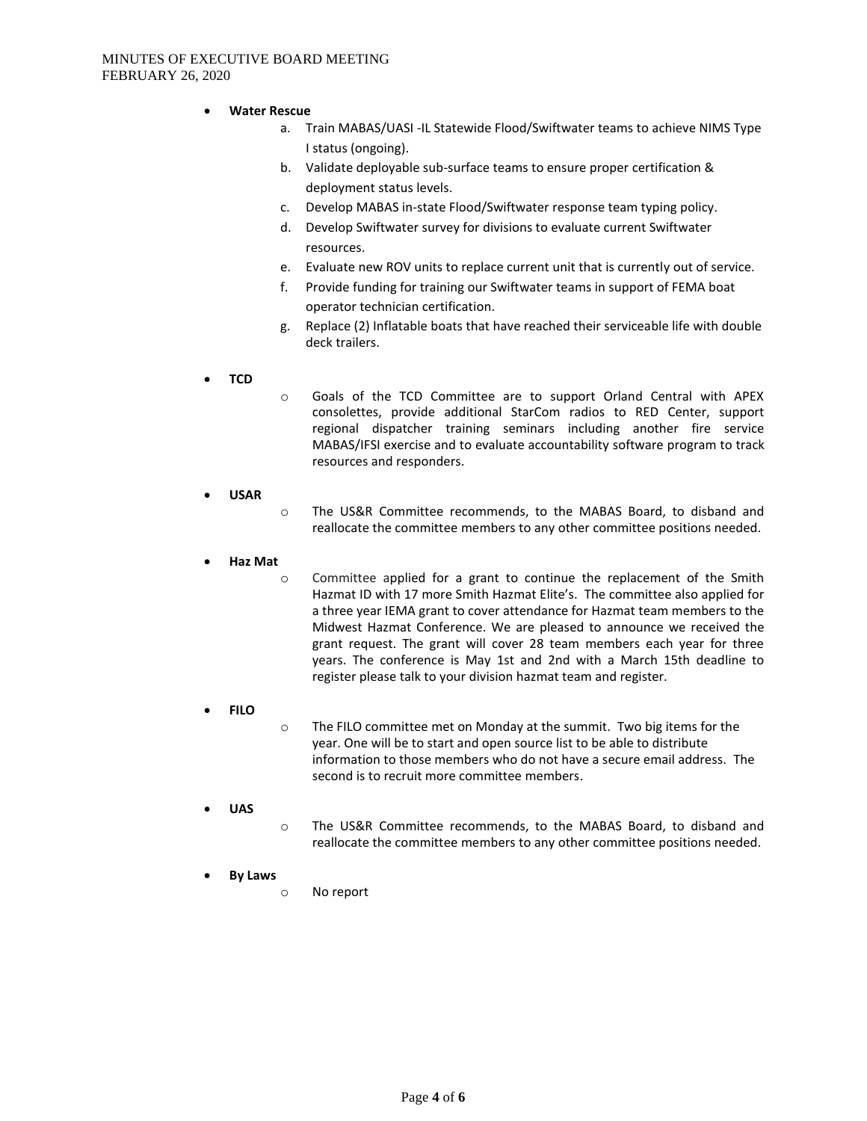- **Water Rescue**
	- a. Train MABAS/UASI -IL Statewide Flood/Swiftwater teams to achieve NIMS Type I status (ongoing).
	- b. Validate deployable sub-surface teams to ensure proper certification & deployment status levels.
	- c. Develop MABAS in-state Flood/Swiftwater response team typing policy.
	- d. Develop Swiftwater survey for divisions to evaluate current Swiftwater resources.
	- e. Evaluate new ROV units to replace current unit that is currently out of service.
	- f. Provide funding for training our Swiftwater teams in support of FEMA boat operator technician certification.
	- g. Replace (2) Inflatable boats that have reached their serviceable life with double deck trailers.
- **TCD**
- o Goals of the TCD Committee are to support Orland Central with APEX consolettes, provide additional StarCom radios to RED Center, support regional dispatcher training seminars including another fire service MABAS/IFSI exercise and to evaluate accountability software program to track resources and responders.
- **USAR**
- o The US&R Committee recommends, to the MABAS Board, to disband and reallocate the committee members to any other committee positions needed.
- **Haz Mat**

o Committee applied for a grant to continue the replacement of the Smith Hazmat ID with 17 more Smith Hazmat Elite's. The committee also applied for a three year IEMA grant to cover attendance for Hazmat team members to the Midwest Hazmat Conference. We are pleased to announce we received the grant request. The grant will cover 28 team members each year for three years. The conference is May 1st and 2nd with a March 15th deadline to register please talk to your division hazmat team and register.

- **FILO**
- $\circ$  The FILO committee met on Monday at the summit. Two big items for the year. One will be to start and open source list to be able to distribute information to those members who do not have a secure email address. The second is to recruit more committee members.
- **UAS**
- o The US&R Committee recommends, to the MABAS Board, to disband and reallocate the committee members to any other committee positions needed.
- **By Laws**
	- o No report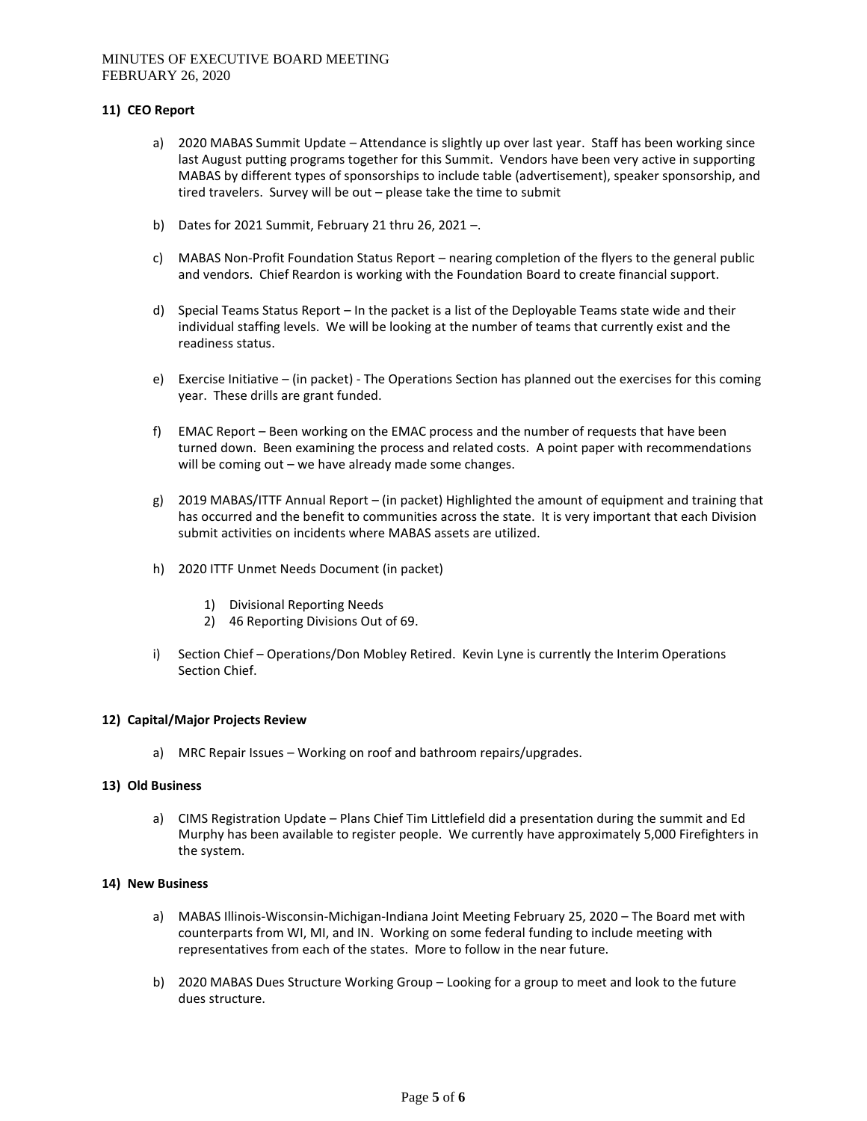### **11) CEO Report**

- a) 2020 MABAS Summit Update Attendance is slightly up over last year. Staff has been working since last August putting programs together for this Summit. Vendors have been very active in supporting MABAS by different types of sponsorships to include table (advertisement), speaker sponsorship, and tired travelers. Survey will be out – please take the time to submit
- b) Dates for 2021 Summit, February 21 thru 26, 2021 –.
- c) MABAS Non-Profit Foundation Status Report nearing completion of the flyers to the general public and vendors. Chief Reardon is working with the Foundation Board to create financial support.
- d) Special Teams Status Report In the packet is a list of the Deployable Teams state wide and their individual staffing levels. We will be looking at the number of teams that currently exist and the readiness status.
- e) Exercise Initiative (in packet) The Operations Section has planned out the exercises for this coming year. These drills are grant funded.
- f) EMAC Report Been working on the EMAC process and the number of requests that have been turned down. Been examining the process and related costs. A point paper with recommendations will be coming out – we have already made some changes.
- g) 2019 MABAS/ITTF Annual Report (in packet) Highlighted the amount of equipment and training that has occurred and the benefit to communities across the state. It is very important that each Division submit activities on incidents where MABAS assets are utilized.
- h) 2020 ITTF Unmet Needs Document (in packet)
	- 1) Divisional Reporting Needs
	- 2) 46 Reporting Divisions Out of 69.
- i) Section Chief Operations/Don Mobley Retired. Kevin Lyne is currently the Interim Operations Section Chief.

## **12) Capital/Major Projects Review**

a) MRC Repair Issues – Working on roof and bathroom repairs/upgrades.

### **13) Old Business**

a) CIMS Registration Update – Plans Chief Tim Littlefield did a presentation during the summit and Ed Murphy has been available to register people. We currently have approximately 5,000 Firefighters in the system.

### **14) New Business**

- a) MABAS Illinois-Wisconsin-Michigan-Indiana Joint Meeting February 25, 2020 The Board met with counterparts from WI, MI, and IN. Working on some federal funding to include meeting with representatives from each of the states. More to follow in the near future.
- b) 2020 MABAS Dues Structure Working Group Looking for a group to meet and look to the future dues structure.